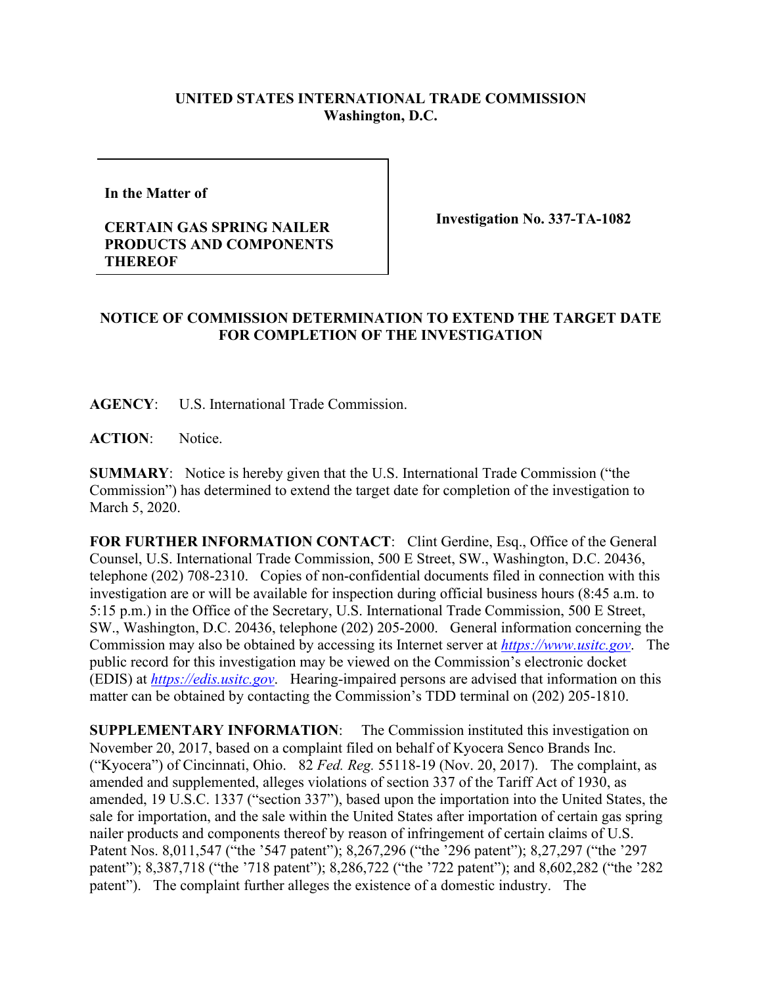## **UNITED STATES INTERNATIONAL TRADE COMMISSION Washington, D.C.**

**In the Matter of** 

## **CERTAIN GAS SPRING NAILER PRODUCTS AND COMPONENTS THEREOF**

**Investigation No. 337-TA-1082**

## **NOTICE OF COMMISSION DETERMINATION TO EXTEND THE TARGET DATE FOR COMPLETION OF THE INVESTIGATION**

**AGENCY**: U.S. International Trade Commission.

**ACTION**: Notice.

**SUMMARY**: Notice is hereby given that the U.S. International Trade Commission ("the Commission") has determined to extend the target date for completion of the investigation to March 5, 2020.

FOR FURTHER INFORMATION CONTACT: Clint Gerdine, Esq., Office of the General Counsel, U.S. International Trade Commission, 500 E Street, SW., Washington, D.C. 20436, telephone (202) 708-2310. Copies of non-confidential documents filed in connection with this investigation are or will be available for inspection during official business hours (8:45 a.m. to 5:15 p.m.) in the Office of the Secretary, U.S. International Trade Commission, 500 E Street, SW., Washington, D.C. 20436, telephone (202) 205-2000. General information concerning the Commission may also be obtained by accessing its Internet server at *[https://www.usitc.gov](https://www.usitc.gov/)*. The public record for this investigation may be viewed on the Commission's electronic docket (EDIS) at *[https://edis.usitc.gov](https://edis.usitc.gov/)*. Hearing-impaired persons are advised that information on this matter can be obtained by contacting the Commission's TDD terminal on (202) 205-1810.

**SUPPLEMENTARY INFORMATION**: The Commission instituted this investigation on November 20, 2017, based on a complaint filed on behalf of Kyocera Senco Brands Inc. ("Kyocera") of Cincinnati, Ohio. 82 *Fed. Reg.* 55118-19 (Nov. 20, 2017). The complaint, as amended and supplemented, alleges violations of section 337 of the Tariff Act of 1930, as amended, 19 U.S.C. 1337 ("section 337"), based upon the importation into the United States, the sale for importation, and the sale within the United States after importation of certain gas spring nailer products and components thereof by reason of infringement of certain claims of U.S. Patent Nos. 8,011,547 ("the '547 patent"); 8,267,296 ("the '296 patent"); 8,27,297 ("the '297 patent"); 8,387,718 ("the '718 patent"); 8,286,722 ("the '722 patent"); and 8,602,282 ("the '282 patent"). The complaint further alleges the existence of a domestic industry. The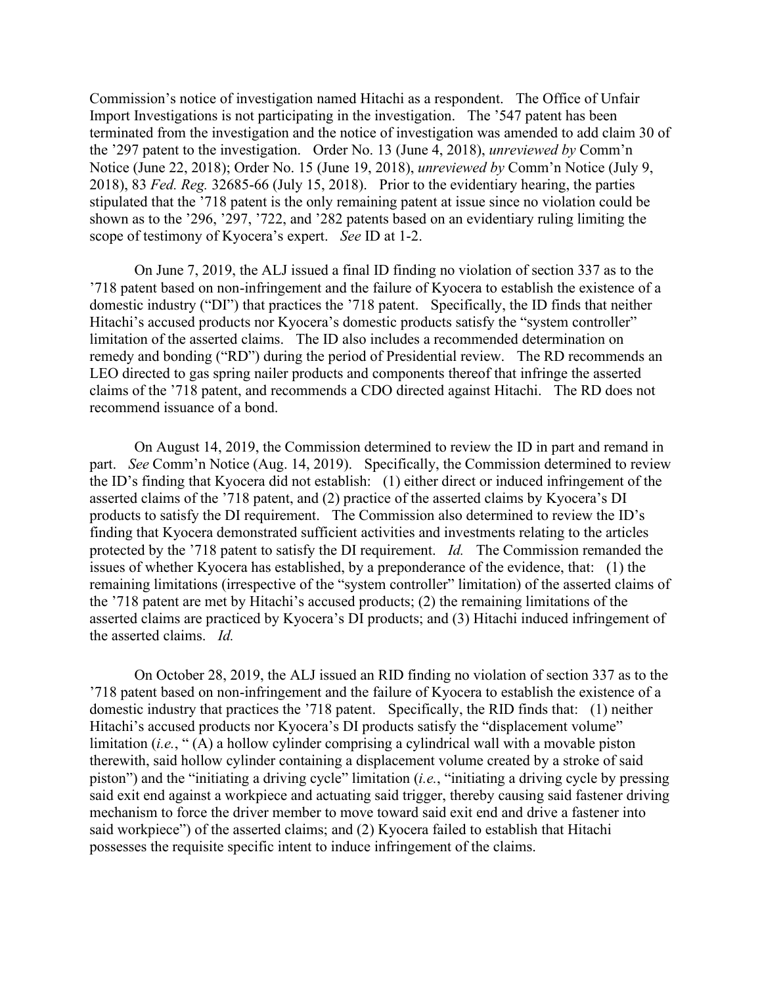Commission's notice of investigation named Hitachi as a respondent. The Office of Unfair Import Investigations is not participating in the investigation. The '547 patent has been terminated from the investigation and the notice of investigation was amended to add claim 30 of the '297 patent to the investigation. Order No. 13 (June 4, 2018), *unreviewed by* Comm'n Notice (June 22, 2018); Order No. 15 (June 19, 2018), *unreviewed by* Comm'n Notice (July 9, 2018), 83 *Fed. Reg.* 32685-66 (July 15, 2018). Prior to the evidentiary hearing, the parties stipulated that the '718 patent is the only remaining patent at issue since no violation could be shown as to the '296, '297, '722, and '282 patents based on an evidentiary ruling limiting the scope of testimony of Kyocera's expert. *See* ID at 1-2.

On June 7, 2019, the ALJ issued a final ID finding no violation of section 337 as to the '718 patent based on non-infringement and the failure of Kyocera to establish the existence of a domestic industry ("DI") that practices the '718 patent. Specifically, the ID finds that neither Hitachi's accused products nor Kyocera's domestic products satisfy the "system controller" limitation of the asserted claims. The ID also includes a recommended determination on remedy and bonding ("RD") during the period of Presidential review. The RD recommends an LEO directed to gas spring nailer products and components thereof that infringe the asserted claims of the '718 patent, and recommends a CDO directed against Hitachi. The RD does not recommend issuance of a bond.

On August 14, 2019, the Commission determined to review the ID in part and remand in part. *See* Comm'n Notice (Aug. 14, 2019). Specifically, the Commission determined to review the ID's finding that Kyocera did not establish: (1) either direct or induced infringement of the asserted claims of the '718 patent, and (2) practice of the asserted claims by Kyocera's DI products to satisfy the DI requirement. The Commission also determined to review the ID's finding that Kyocera demonstrated sufficient activities and investments relating to the articles protected by the '718 patent to satisfy the DI requirement. *Id.* The Commission remanded the issues of whether Kyocera has established, by a preponderance of the evidence, that: (1) the remaining limitations (irrespective of the "system controller" limitation) of the asserted claims of the '718 patent are met by Hitachi's accused products; (2) the remaining limitations of the asserted claims are practiced by Kyocera's DI products; and (3) Hitachi induced infringement of the asserted claims. *Id.*

On October 28, 2019, the ALJ issued an RID finding no violation of section 337 as to the '718 patent based on non-infringement and the failure of Kyocera to establish the existence of a domestic industry that practices the '718 patent. Specifically, the RID finds that: (1) neither Hitachi's accused products nor Kyocera's DI products satisfy the "displacement volume" limitation (*i.e.*, "(A) a hollow cylinder comprising a cylindrical wall with a movable piston therewith, said hollow cylinder containing a displacement volume created by a stroke of said piston") and the "initiating a driving cycle" limitation (*i.e.*, "initiating a driving cycle by pressing said exit end against a workpiece and actuating said trigger, thereby causing said fastener driving mechanism to force the driver member to move toward said exit end and drive a fastener into said workpiece") of the asserted claims; and (2) Kyocera failed to establish that Hitachi possesses the requisite specific intent to induce infringement of the claims.